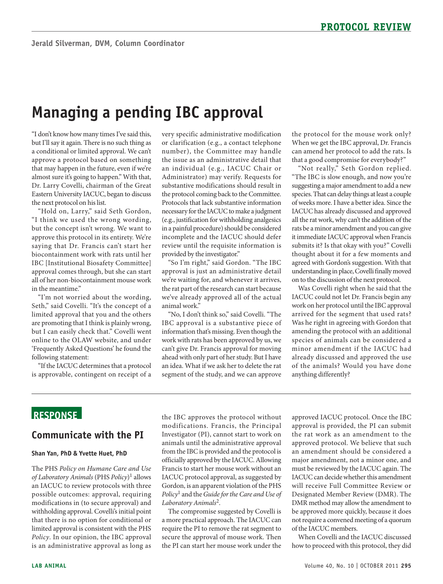# **Managing a pending IBC approval**

 a conditional or limited approval. We can't Dr. Larry Covelli, chairman of the Great Eastern University IACUC, began to discuss "I don't know how many times I've said this, but I'll say it again. There is no such thing as approve a protocol based on something that may happen in the future, even if we're almost sure it's going to happen." With that, the next protocol on his list.

"Hold on, Larry," said Seth Gordon, "I think we used the wrong wording, but the concept isn't wrong. We want to approve this protocol in its entirety. We're saying that Dr. Francis can't start her biocontainment work with rats until her IBC [Institutional Biosafety Committee] approval comes through, but she can start all of her non-biocontainment mouse work in the meantime."

"I'm not worried about the wording, Seth," said Covelli. "It's the concept of a limited approval that you and the others are promoting that I think is plainly wrong, but I can easily check that." Covelli went online to the OLAW website, and under 'Frequently Asked Questions' he found the following statement:

 "If the IACUC determines that a protocol is approvable, contingent on receipt of a

 or clarification (e.g., a contact telephone in a painful procedure) should be considered very specific administrative modification number), the Committee may handle the issue as an administrative detail that an individual (e.g., IACUC Chair or Administrator) may verify. Requests for substantive modifications should result in the protocol coming back to the Committee. Protocols that lack substantive information necessary for the IACUC to make a judgment (e.g., justification for withholding analgesics incomplete and the IACUC should defer review until the requisite information is provided by the investigator."

"So I'm right," said Gordon. "The IBC approval is just an administrative detail we're waiting for, and whenever it arrives, the rat part of the research can start because we've already approved all of the actual animal work."

"No, I don't think so," said Covelli. "The IBC approval is a substantive piece of information that's missing. Even though the work with rats has been approved by us, we can't give Dr. Francis approval for moving ahead with only part of her study. But I have an idea. What if we ask her to delete the rat segment of the study, and we can approve

the protocol for the mouse work only? When we get the IBC approval, Dr. Francis can amend her protocol to add the rats. Is that a good compromise for everybody?"

"Not really," Seth Gordon replied. "The IBC is slow enough, and now you're suggesting a major amendment to add a new species. That can delay things at least a couple of weeks more. I have a better idea. Since the IACUC has already discussed and approved all the rat work, why can't the addition of the rats be a minor amendment and you can give it immediate IACUC approval when Francis submits it? Is that okay with you?" Covelli thought about it for a few moments and agreed with Gordon's suggestion. With that understanding in place, Covelli finally moved on to the discussion of the next protocol.

 work on her protocol until the IBC approval amending the protocol with an additional anything differently? Was Covelli right when he said that the IACUC could not let Dr. Francis begin any arrived for the segment that used rats? Was he right in agreeing with Gordon that species of animals can be considered a minor amendment if the IACUC had already discussed and approved the use of the animals? Would you have done

# **ReSponSe**

#### **Communicate with the pI**

#### **Shan Yan, phD & Yvette Huet, phD**

 possible outcomes: approval, requiring *Policy*. In our opinion, the IBC approval The PHS *Policy on Humane Care and Use of Laboratory Animals* (PHS *Policy*)1 allows an IACUC to review protocols with three modifications in (to secure approval) and withholding approval. Covelli's initial point that there is no option for conditional or limited approval is consistent with the PHS is an administrative approval as long as

 the IBC approves the protocol without from the IBC is provided and the protocol is modifications. Francis, the Principal Investigator (PI), cannot start to work on animals until the administrative approval officially approved by the IACUC. Allowing Francis to start her mouse work without an IACUC protocol approval, as suggested by Gordon, is an apparent violation of the PHS *Policy*1 and the *Guide for the Care and Use of Laboratory Animals*2.

 require the PI to remove the rat segment to The compromise suggested by Covelli is a more practical approach. The IACUC can secure the approval of mouse work. Then the PI can start her mouse work under the

 approval is provided, the PI can submit an amendment should be considered a IACUC can decide whether this amendment will receive Full Committee Review or approved IACUC protocol. Once the IBC the rat work as an amendment to the approved protocol. We believe that such major amendment, not a minor one, and must be reviewed by the IACUC again. The Designated Member Review (DMR). The DMR method may allow the amendment to be approved more quickly, because it does not require a convened meeting of a quorum of the IACUC members.

When Covelli and the IACUC discussed how to proceed with this protocol, they did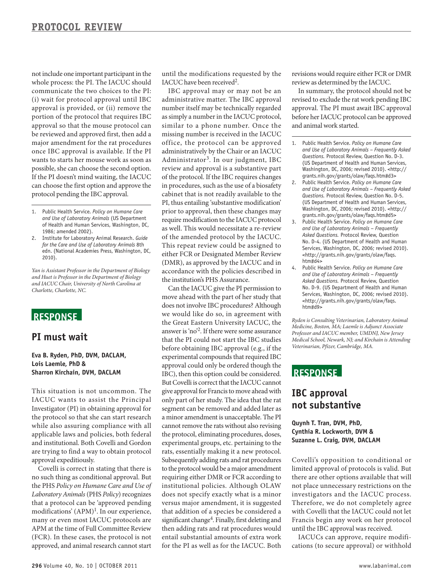not include one important participant in the whole process: the PI. The IACUC should communicate the two choices to the PI: (i) wait for protocol approval until IBC approval is provided, or (ii) remove the portion of the protocol that requires IBC approval so that the mouse protocol can be reviewed and approved first, then add a major amendment for the rat procedures once IBC approval is available. If the PI wants to starts her mouse work as soon as possible, she can choose the second option. If the PI doesn't mind waiting, the IACUC can choose the first option and approve the protocol pending the IBC approval.

- 1. Public Health Service. *Policy on Humane Care and Use of Laboratory Animals* (US Department of Health and Human Services, Washington, Dc, 1986; amended 2002).
- 2. Institute for Laboratory Animal Research. *Guide for the Care and Use of Laboratory Animals* 8th edn. (National Academies Press, Washington, Dc, 2010).

*Yan is Assistant Professor in the Department of Biology and Huet is Professor in the Department of Biology and IACUC Chair, University of North Carolina at Charlotte, Charlotte, NC.* 

# **ReSponSe**

#### **pI must wait**

**eva B. Ryden, phD, DVM, DACLAM, Lois Laemle, phD & Sharron Kirchain, DVM, DACLAM** 

This situation is not uncommon. The IACUC wants to assist the Principal Investigator (PI) in obtaining approval for the protocol so that she can start research while also assuring compliance with all applicable laws and policies, both federal and institutional. Both Covelli and Gordon are trying to find a way to obtain protocol approval expeditiously.

 *Laboratory Animals* (PHS *Policy*) recognizes Covelli is correct in stating that there is no such thing as conditional approval. But the PHS *Policy on Humane Care and Use of*  that a protocol can be 'approved pending modifications'  $(APM)^1$ . In our experience, many or even most IACUC protocols are APM at the time of Full Committee Review (FCR). In these cases, the protocol is not approved, and animal research cannot start

until the modifications requested by the IACUC have been received<sup>2</sup>.

 number itself may be technically regarded as simply a number in the IACUC protocol, require modification to the IACUC protocol IBC approval may or may not be an administrative matter. The IBC approval similar to a phone number. Once the missing number is received in the IACUC office, the protocol can be approved administratively by the Chair or an IACUC Administrator<sup>3</sup>. In our judgment, IBC review and approval is a substantive part of the protocol. If the IBC requires changes in procedures, such as the use of a biosafety cabinet that is not readily available to the PI, thus entailing 'substantive modification' prior to approval, then these changes may as well. This would necessitate a re-review of the amended protocol by the IACUC. This repeat review could be assigned to either FCR or Designated Member Review (DMR), as approved by the IACUC and in accordance with the policies described in the institution's PHS Assurance.

 answer is 'no'2. If there were some assurance approval could only be ordered though the IBC), then this option could be considered. But Covelli is correct that the IACUC cannot cannot remove the rats without also revising rats, essentially making it a new protocol. Subsequently adding rats and rat procedures to the protocol would be a major amendment Can the IACUC give the PI permission to move ahead with the part of her study that does not involve IBC procedures? Although we would like do so, in agreement with the Great Eastern University IACUC, the that the PI could not start the IBC studies before obtaining IBC approval (e.g., if the experimental compounds that required IBC give approval for Francis to move ahead with only part of her study. The idea that the rat segment can be removed and added later as a minor amendment is unacceptable. The PI the protocol, eliminating procedures, doses, experimental groups, etc. pertaining to the requiring either DMR or FCR according to institutional policies. Although OLAW does not specify exactly what is a minor versus major amendment, it is suggested that addition of a species be considered a significant change<sup>4</sup>. Finally, first deleting and then adding rats and rat procedures would entail substantial amounts of extra work for the PI as well as for the IACUC. Both

revisions would require either FCR or DMR review as determined by the IACUC.

 revised to exclude the rat work pending IBC In summary, the protocol should not be approval. The PI must await IBC approval before her IACUC protocol can be approved and animal work started.

- 1. Public Health Service. *Policy on Humane Care and Use of Laboratory Animals – Frequently Asked Questions.* Protocol Review, Question No. D-3. (US Department of Health and Human Services, Washington, Dc, 2006; revised 2010). <http:// grants.nih.gov/grants/olaw/faqs.htm#d3>
- 2. Public Health Service. *Policy on Humane Care and Use of Laboratory Animals – Frequently Asked Questions. Protocol Review, Question No. D-5.* (US Department of Health and Human Services, Washington, Dc, 2006; revised 2010). <http:// grants.nih.gov/grants/olaw/faqs.htm#d5>
- 3. Public Health Service. *Policy on Humane Care and Use of Laboratory Animals – Frequently*  Asked Questions. Protocol Review, Question No. D-4. (US Department of Health and Human Services, Washington, Dc, 2006; revised 2010). <http://grants.nih.gov/grants/olaw/faqs. htm#d4>
- 4. Public Health Service. *Policy on Humane Care and Use of Laboratory Animals – Frequently*  Asked Questions. Protocol Review, Question No. D-9. (US Department of Health and Human Services, Washington, Dc, 2006; revised 2010). <http://grants.nih.gov/grants/olaw/faqs. htm#d9>

*Ryden is Consulting Veterinarian, Laboratory Animal Medicine, Boston, MA; Laemle is Adjunct Associate Professor and IACUC member, UMDNJ, New Jersey Medical School, Newark, NJ; and Kirchain is Attending Veterinarian, Pfizer, Cambridge, MA.* 

## **ReSponSe**

### **IBC approval not substantive**

**Quynh T. Tran, DVM, phD, Cynthia R. Lockworth, DVM & Suzanne L. Craig, DVM, DACLAM** 

Covelli's opposition to conditional or limited approval of protocols is valid. But there are other options available that will not place unnecessary restrictions on the investigators and the IACUC process. Therefore, we do not completely agree with Covelli that the IACUC could not let Francis begin any work on her protocol until the IBC approval was received.

 cations (to secure approval) or withhold IACUCs can approve, require modifi-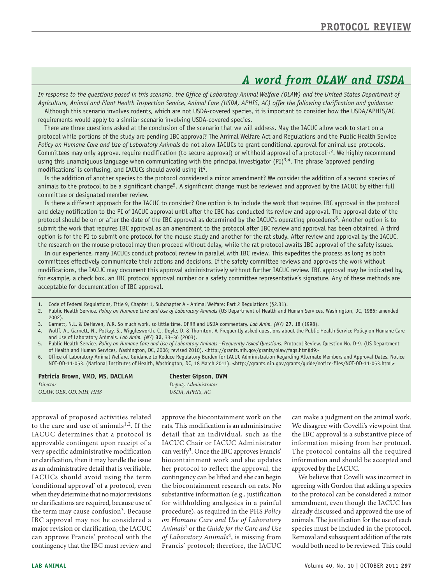# *A word from OLAW and USDA*

*In response to the questions posed in this scenario, the Office of Laboratory Animal Welfare (OLAW) and the United States Department of Agriculture, Animal and Plant Health Inspection Service, Animal Care (USDA, APHIS, AC) offer the following clarification and guidance:* 

Although this scenario involves rodents, which are not USDA-covered species, it is important to consider how the USDA/APHIS/Ac requirements would apply to a similar scenario involving USDA-covered species.

there are three questions asked at the conclusion of the scenario that we will address. May the IAcUc allow work to start on a protocol while portions of the study are pending IBC approval? The Animal Welfare Act and Regulations and the Public Health Service *Policy on Humane Care and Use of Laboratory Animals* do not allow IAcUcs to grant conditional approval for animal use protocols. Committees may only approve, require modification (to secure approval) or withhold approval of a protocol<sup>1,2</sup>. We highly recommend using this unambiguous language when communicating with the principal investigator  $(PI)^{3,4}$ . The phrase 'approved pending modifications' is confusing, and IACUCs should avoid using it<sup>4</sup>.

Is the addition of another species to the protocol considered a minor amendment? We consider the addition of a second species of animals to the protocol to be a significant change<sup>5</sup>. A significant change must be reviewed and approved by the IACUC by either full committee or designated member review.

Is there a different approach for the IAcUc to consider? one option is to include the work that requires Ibc approval in the protocol and delay notification to the PI of IAcUc approval until after the Ibc has conducted its review and approval. the approval date of the protocol should be on or after the date of the IBC approval as determined by the IACUC's operating procedures<sup>6</sup>. Another option is to submit the work that requires Ibc approval as an amendment to the protocol after Ibc review and approval has been obtained. A third option is for the PI to submit one protocol for the mouse study and another for the rat study. After review and approval by the IAcUc, the research on the mouse protocol may then proceed without delay, while the rat protocol awaits Ibc approval of the safety issues.

In our experience, many IAcUcs conduct protocol review in parallel with Ibc review. this expedites the process as long as both committees effectively communicate their actions and decisions. If the safety committee reviews and approves the work without modifications, the IAcUc may document this approval administratively without further IAcUc review. Ibc approval may be indicated by, for example, a check box, an Ibc protocol approval number or a safety committee representative's signature. Any of these methods are acceptable for documentation of Ibc approval.

1. Code of Federal Regulations, Title 9, Chapter 1, Subchapter A - Animal Welfare: Part 2 Regulations (§2.31).<br>2. Public Health Service. Policy on Humane Care and Use of Laboratory Animals (US Department of Health and

- 2. Public Health Service. *Policy on Humane Care and Use of Laboratory Animals* (US Department of Health and Human Services, Washington, Dc, 1986; amended 2002).
- 3. Garnett, N.L. & DeHaven, W.R. So much work, so little time. OPRR and USDA commentary. *Lab Anim. (NY)* 27, 18 (1998).
- 4. Wolff, A., Garnett, N., Potkay, S., Wigglesworth, c., Doyle, D. & thornton, V. Frequently asked questions about the Public Health Service Policy on Humane care and Use of Laboratory Animals. *Lab Anim. (NY)* **32**, 33–36 (2003).
- 5. Public Health Service. *Policy on Humane Care and Use of Laboratory Animals* –*Frequently Asked Questions.* Protocol review, Question No. D-9. (US Department of Health and Human Services, Washington, Dc, 2006; revised 2010). <http://grants.nih.gov/grants/olaw/faqs.htm#d9>
- 6. office of Laboratory Animal Welfare. Guidance to reduce regulatory burden for IAcUc Administration regarding Alternate Members and Approval Dates. Notice NOT-OD-11-053. (National Institutes of Health, Washington, DC, 18 March 2011). <http://grants.nih.gov/grants/guide/notice-files/NOT-OD-11-053.html>

| Patricia Brown, VMD, MS, DACLAM     | <b>Ches</b> |
|-------------------------------------|-------------|
| Director<br>OLAW, OER, OD, NIH, HHS | Deput       |
|                                     | <b>USDA</b> |

**Chester Gipson, DVM**  *Deputy Administrator USDA, APHIS, AC* 

 approvable contingent upon receipt of a as an administrative detail that is verifiable. when they determine that no major revisions major revision or clarification, the IACUC approval of proposed activities related to the care and use of animals<sup>1,2</sup>. If the IACUC determines that a protocol is very specific administrative modification or clarification, then it may handle the issue IACUCs should avoid using the term 'conditional approval' of a protocol, even or clarifications are required, because use of the term may cause confusion<sup>3</sup>. Because IBC approval may not be considered a can approve Francis' protocol with the contingency that the IBC must review and

 biocontainment work and she updates substantive information (e.g., justification for withholding analgesics in a painful *of Laboratory Animals*4, is missing from approve the biocontainment work on the rats. This modification is an administrative detail that an individual, such as the IACUC Chair or IACUC Administrator can verify<sup>3</sup>. Once the IBC approves Francis' her protocol to reflect the approval, the contingency can be lifted and she can begin the biocontainment research on rats. No procedure), as required in the PHS *Policy on Humane Care and Use of Laboratory Animals*1 or the *Guide for the Care and Use*  Francis' protocol; therefore, the IACUC

 information missing from her protocol. can make a judgment on the animal work. We disagree with Covelli's viewpoint that the IBC approval is a substantive piece of The protocol contains all the required information and should be accepted and approved by the IACUC.

 species must be included in the protocol. We believe that Covelli was incorrect in agreeing with Gordon that adding a species to the protocol can be considered a minor amendment, even though the IACUC has already discussed and approved the use of animals. The justification for the use of each Removal and subsequent addition of the rats would both need to be reviewed. This could